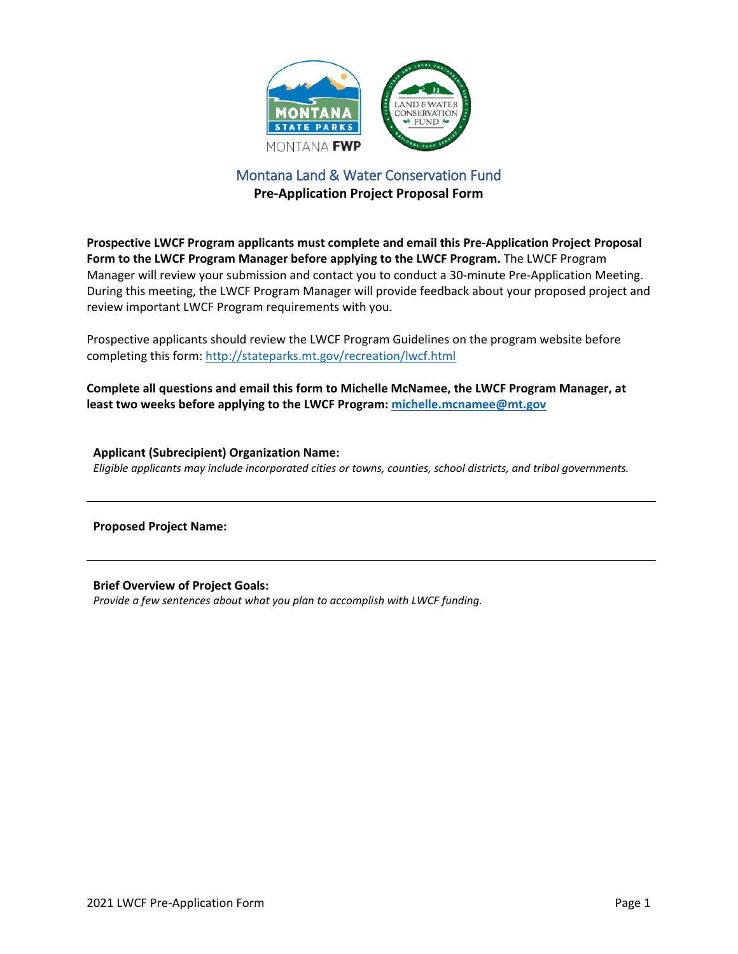

## Montana Land & Water Conservation Fund **Pre-Application Project Proposal Form**

**Prospective LWCF Program applicants must complete and email this Pre-Application Project Proposal Form to the LWCF Program Manager before applying to the LWCF Program.** The LWCF Program Manager will review your submission and contact you to conduct a 30-minute Pre-Application Meeting. During this meeting, the LWCF Program Manager will provide feedback about your proposed project and review important LWCF Program requirements with you.

Prospective applicants should review the LWCF Program Guidelines on the program website before completing this form[: http://stateparks.mt.gov/recreation/lwcf.html](http://stateparks.mt.gov/recreation/lwcf.html)

**Complete all questions and email this form to Michelle McNamee, the LWCF Program Manager, at least two weeks before applying to the LWCF Program: [michelle.mcnamee@mt.gov](mailto:michelle.mcnamee@mt.gov)**

**Applicant (Subrecipient) Organization Name:** *Eligible applicants may include incorporated cities or towns, counties, school districts, and tribal governments.*

**Proposed Project Name:**

**Brief Overview of Project Goals:** *Provide a few sentences about what you plan to accomplish with LWCF funding.*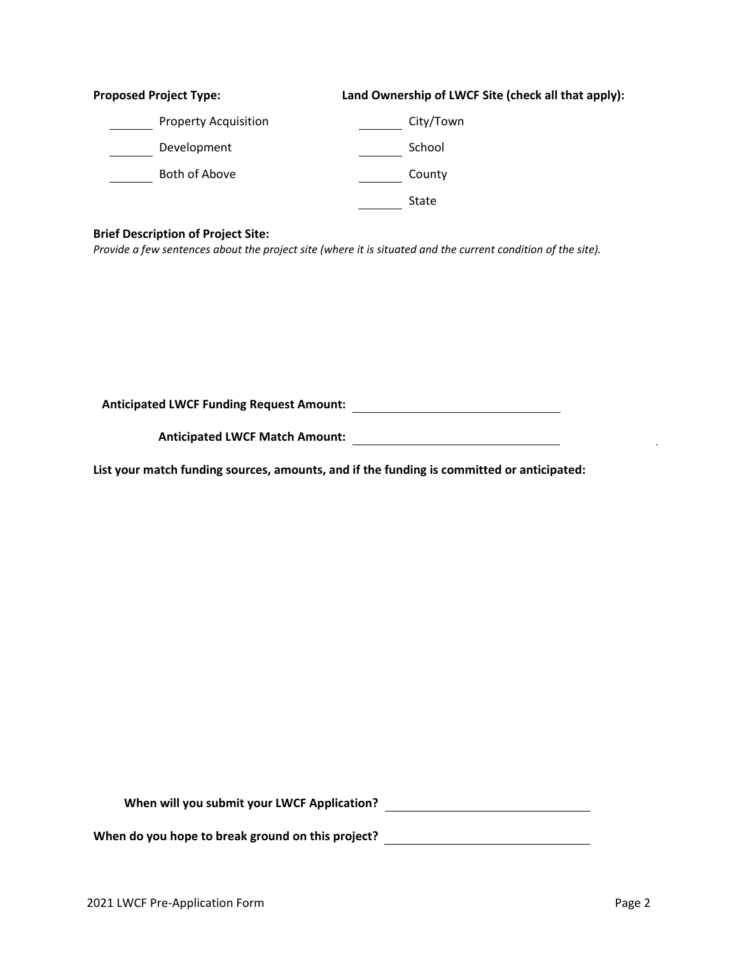| <b>Proposed Project Type:</b> | Land Ownership of LWCF Site (check all that apply): |
|-------------------------------|-----------------------------------------------------|
| <b>Property Acquisition</b>   | City/Town                                           |
| Development                   | School                                              |
| Both of Above                 | County                                              |
|                               | State                                               |
|                               |                                                     |

## **Brief Description of Project Site:**

*Provide a few sentences about the project site (where it is situated and the current condition of the site).*

**Anticipated LWCF Funding Request Amount:**

**Anticipated LWCF Match Amount:**

**List your match funding sources, amounts, and if the funding is committed or anticipated:**

**When will you submit your LWCF Application?**

**When do you hope to break ground on this project?**